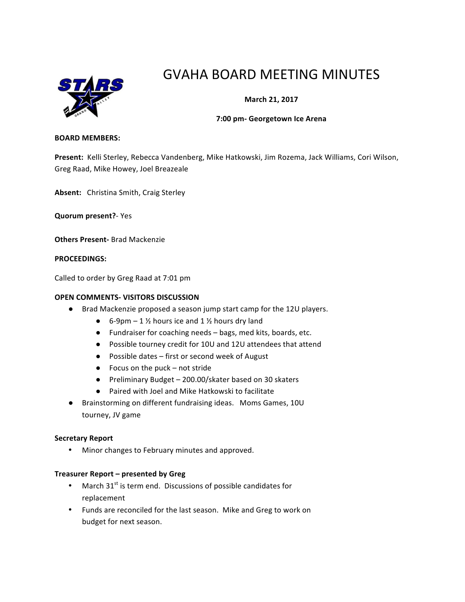

# GVAHA BOARD MEETING MINUTES

## **March 21, 2017**

#### **7:00 pm- Georgetown Ice Arena**

#### **BOARD MEMBERS:**

Present: Kelli Sterley, Rebecca Vandenberg, Mike Hatkowski, Jim Rozema, Jack Williams, Cori Wilson, Greg Raad, Mike Howey, Joel Breazeale

Absent: Christina Smith, Craig Sterley

**Quorum present?**- Yes

**Others Present-** Brad Mackenzie

#### **PROCEEDINGS:**

Called to order by Greg Raad at 7:01 pm

#### **OPEN COMMENTS- VISITORS DISCUSSION**

- Brad Mackenzie proposed a season jump start camp for the 12U players.
	- 6-9pm 1  $\frac{1}{2}$  hours ice and 1  $\frac{1}{2}$  hours dry land
	- Fundraiser for coaching needs bags, med kits, boards, etc.
	- Possible tourney credit for 10U and 12U attendees that attend
	- Possible dates first or second week of August
	- $\bullet$  Focus on the puck not stride
	- Preliminary Budget 200.00/skater based on 30 skaters
	- Paired with Joel and Mike Hatkowski to facilitate
- Brainstorming on different fundraising ideas. Moms Games, 10U tourney, JV game

#### **Secretary Report**

• Minor changes to February minutes and approved.

#### **Treasurer Report – presented by Greg**

- March  $31<sup>st</sup>$  is term end. Discussions of possible candidates for replacement
- Funds are reconciled for the last season. Mike and Greg to work on budget for next season.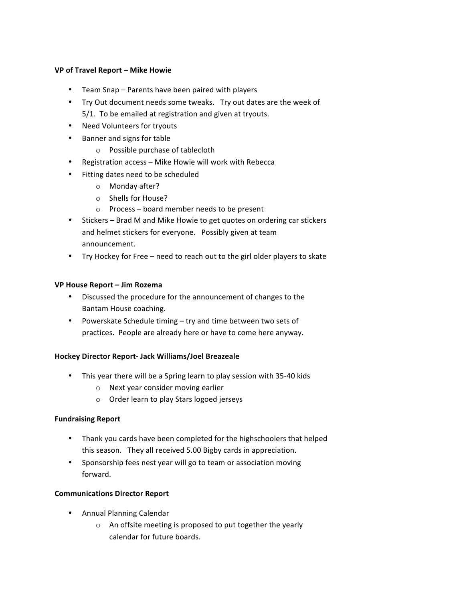#### **VP of Travel Report – Mike Howie**

- Team Snap Parents have been paired with players
- Try Out document needs some tweaks. Try out dates are the week of 5/1. To be emailed at registration and given at tryouts.
- Need Volunteers for tryouts
- Banner and signs for table
	- $\circ$  Possible purchase of tablecloth
- Registration access Mike Howie will work with Rebecca
- Fitting dates need to be scheduled
	- $\circ$  Monday after?
	- o Shells for House?
	- $\circ$  Process board member needs to be present
- Stickers Brad M and Mike Howie to get quotes on ordering car stickers and helmet stickers for everyone. Possibly given at team announcement.
- Try Hockey for Free need to reach out to the girl older players to skate

## **VP House Report – Jim Rozema**

- Discussed the procedure for the announcement of changes to the Bantam House coaching.
- Powerskate Schedule timing try and time between two sets of practices. People are already here or have to come here anyway.

## **Hockey Director Report- Jack Williams/Joel Breazeale**

- This year there will be a Spring learn to play session with 35-40 kids
	- o Next year consider moving earlier
	- o Order learn to play Stars logoed jerseys

## **Fundraising Report**

- Thank you cards have been completed for the highschoolers that helped this season. They all received 5.00 Bigby cards in appreciation.
- Sponsorship fees nest year will go to team or association moving forward.

## **Communications Director Report**

- Annual Planning Calendar
	- $\circ$  An offsite meeting is proposed to put together the yearly calendar for future boards.